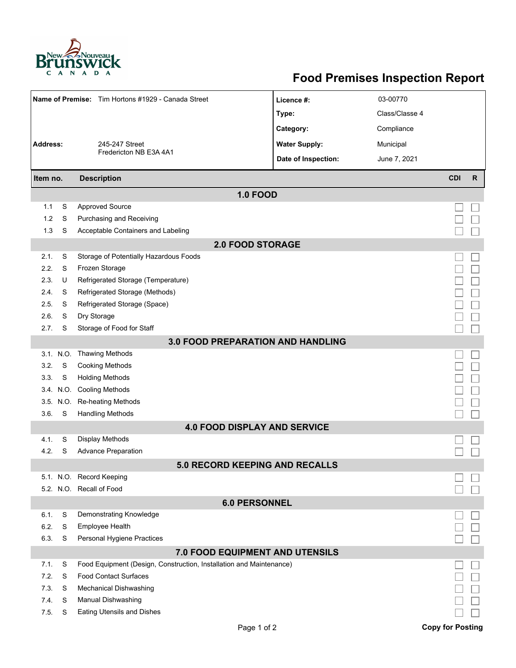

## **Food Premises Inspection Report**

| Name of Premise: Tim Hortons #1929 - Canada Street |           | Licence #:                                                          | 03-00770             |                |                         |              |  |  |  |  |
|----------------------------------------------------|-----------|---------------------------------------------------------------------|----------------------|----------------|-------------------------|--------------|--|--|--|--|
|                                                    |           |                                                                     | Type:                | Class/Classe 4 |                         |              |  |  |  |  |
|                                                    |           |                                                                     | Category:            | Compliance     |                         |              |  |  |  |  |
| <b>Address:</b><br>245-247 Street                  |           |                                                                     | <b>Water Supply:</b> | Municipal      |                         |              |  |  |  |  |
|                                                    |           | Fredericton NB E3A 4A1                                              | Date of Inspection:  | June 7, 2021   |                         |              |  |  |  |  |
|                                                    |           |                                                                     |                      |                |                         |              |  |  |  |  |
| Item no.                                           |           | <b>Description</b>                                                  |                      |                | <b>CDI</b>              | $\mathsf{R}$ |  |  |  |  |
| <b>1.0 FOOD</b>                                    |           |                                                                     |                      |                |                         |              |  |  |  |  |
| 1.1                                                | S         | <b>Approved Source</b>                                              |                      |                |                         |              |  |  |  |  |
| 1.2                                                | S         | Purchasing and Receiving                                            |                      |                |                         |              |  |  |  |  |
| 1.3                                                | S         | Acceptable Containers and Labeling                                  |                      |                |                         |              |  |  |  |  |
| <b>2.0 FOOD STORAGE</b>                            |           |                                                                     |                      |                |                         |              |  |  |  |  |
| 2.1.                                               | S         | Storage of Potentially Hazardous Foods                              |                      |                |                         |              |  |  |  |  |
| 2.2.                                               | S         | Frozen Storage                                                      |                      |                |                         |              |  |  |  |  |
| 2.3.                                               | U         | Refrigerated Storage (Temperature)                                  |                      |                |                         |              |  |  |  |  |
| 2.4.                                               | S         | Refrigerated Storage (Methods)                                      |                      |                |                         |              |  |  |  |  |
| 2.5.                                               | S         | Refrigerated Storage (Space)                                        |                      |                |                         |              |  |  |  |  |
| 2.6.                                               | S         | Dry Storage                                                         |                      |                |                         |              |  |  |  |  |
| 2.7.                                               | S         | Storage of Food for Staff                                           |                      |                |                         |              |  |  |  |  |
| 3.0 FOOD PREPARATION AND HANDLING                  |           |                                                                     |                      |                |                         |              |  |  |  |  |
|                                                    | 3.1. N.O. | <b>Thawing Methods</b>                                              |                      |                |                         |              |  |  |  |  |
| 3.2.                                               | S         | <b>Cooking Methods</b>                                              |                      |                |                         |              |  |  |  |  |
| 3.3.                                               | S         | <b>Holding Methods</b>                                              |                      |                |                         |              |  |  |  |  |
|                                                    | 3.4. N.O. | <b>Cooling Methods</b>                                              |                      |                |                         |              |  |  |  |  |
|                                                    | 3.5. N.O. | Re-heating Methods                                                  |                      |                |                         |              |  |  |  |  |
| 3.6.                                               | S         | <b>Handling Methods</b>                                             |                      |                |                         |              |  |  |  |  |
| <b>4.0 FOOD DISPLAY AND SERVICE</b>                |           |                                                                     |                      |                |                         |              |  |  |  |  |
| 4.1.                                               | S         | <b>Display Methods</b>                                              |                      |                |                         |              |  |  |  |  |
| 4.2.                                               | S         | <b>Advance Preparation</b>                                          |                      |                |                         |              |  |  |  |  |
|                                                    |           | 5.0 RECORD KEEPING AND RECALLS                                      |                      |                |                         |              |  |  |  |  |
|                                                    |           | 5.1. N.O. Record Keeping                                            |                      |                |                         |              |  |  |  |  |
|                                                    |           | 5.2. N.O. Recall of Food                                            |                      |                |                         |              |  |  |  |  |
| <b>6.0 PERSONNEL</b>                               |           |                                                                     |                      |                |                         |              |  |  |  |  |
| 6.1.                                               | S         | Demonstrating Knowledge                                             |                      |                |                         |              |  |  |  |  |
| 6.2.                                               | S         | Employee Health                                                     |                      |                |                         |              |  |  |  |  |
| 6.3.                                               | S         | Personal Hygiene Practices                                          |                      |                |                         |              |  |  |  |  |
| 7.0 FOOD EQUIPMENT AND UTENSILS                    |           |                                                                     |                      |                |                         |              |  |  |  |  |
| 7.1.                                               | S         | Food Equipment (Design, Construction, Installation and Maintenance) |                      |                |                         |              |  |  |  |  |
| 7.2.                                               | S         | <b>Food Contact Surfaces</b>                                        |                      |                |                         |              |  |  |  |  |
| 7.3                                                | S         | Mechanical Dishwashing                                              |                      |                |                         |              |  |  |  |  |
| 7.4.                                               | S         | Manual Dishwashing                                                  |                      |                |                         |              |  |  |  |  |
| 7.5.                                               | S         | Eating Utensils and Dishes                                          |                      |                |                         |              |  |  |  |  |
|                                                    |           | Page 1 of 2                                                         |                      |                | <b>Copy for Posting</b> |              |  |  |  |  |